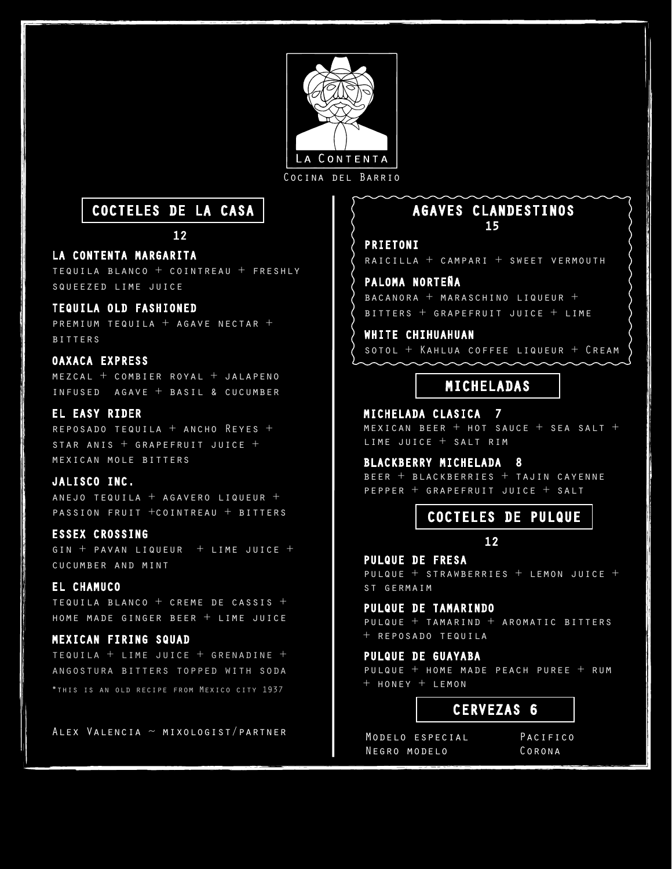

Cocina del Barrio

# COCTELES DE LA CASA

12

## LA CONTENTA MARGARITA

tequila blanco + cointreau + freshly squeezed lime juice

# TEQUILA OLD FASHIONED

premium tequila + agave nectar + bitters

# OAXACA EXPRESS

 $MEZCAL + COMBIER ROYAL + JALAPENO$ infused agave + basil & cucumber

# EL EASY RIDER

reposado tequila + ancho Reyes + STAR ANIS  $+$  GRAPEFRUIT JUICE  $+$ mexican mole bitters

## JALISCO INC.

anejo tequila + agavero liqueur + passion fruit +cointreau + bitters

## ESSEX CROSSING

gin + pavan liqueur + lime juice + cucumber and mint

# EL CHAMUCO

tequila blanco + creme de cassis + home made ginger beer + lime juice

## MEXICAN FIRING SQUAD

tequila + lime juice + grenadine + angostura bitters topped with soda \*this is an old recipe from Mexico city 1937

Alex Valencia ~ mixologist/partner

# 15 AGAVES CLANDESTINOS

# PRIETONI

raicilla + campari + sweet vermouth

# PALOMA NORTEÑA

bacanora + maraschino liqueur + bitters + grapefruit juice + lime

### WHITE CHIHUAHUAN

sotol + Kahlua coffee liqueur + Cream

# MICHELADAS

MICHELADA CLASICA 7 MEXICAN BEER  $+$  HOT SAUCE  $+$  SEA SALT  $+$ lime juice + salt rim

# BLACKBERRY MICHELADA 8

beer + blackberries + tajin cayenne pepper + grapefruit juice + salt

# COCTELES DE PULQUE

#### 12

PULQUE DE FRESA pulque + strawberries + lemon juice + st germaim

# PULQUE DE TAMARINDO

pulque + tamarind + aromatic bitters + reposado tequila

## PULQUE DE GUAYABA

pulque + home made peach puree + rum + honey + lemon

# CERVEZAS 6

Modelo especial Negro modelo

Pacifico Corona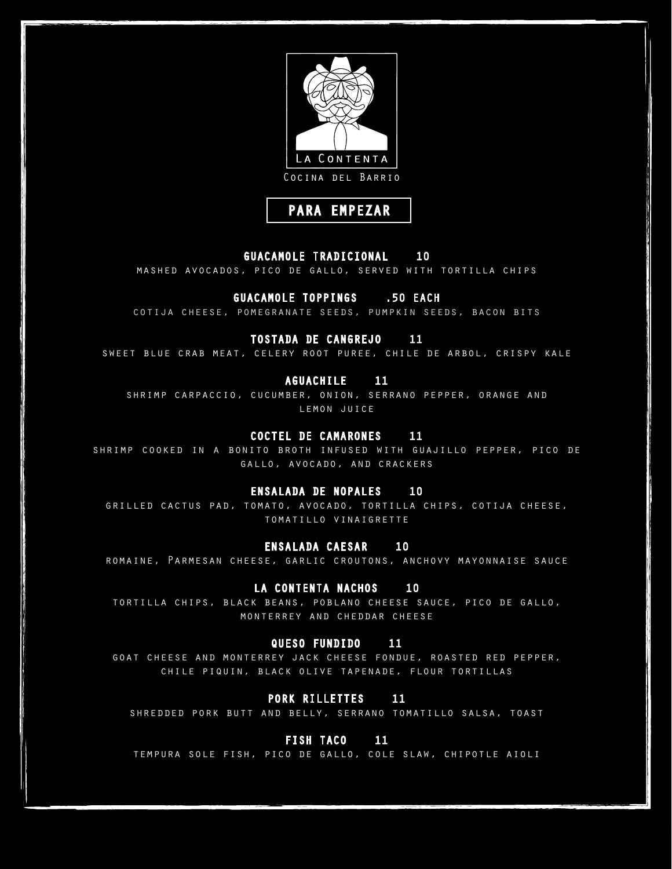



### GUACAMOLE TRADICIONAL 10

mashed avocados, pico de gallo, served with tortilla chips

## GUACAMOLE TOPPINGS .50 EACH

cotija cheese, pomegranate seeds, pumpkin seeds, bacon bits

## TOSTADA DE CANGREJO 11

sweet blue crab meat, celery root puree, chile de arbol, crispy kale

#### AGUACHILE 11

shrimp carpaccio, cucumber, onion, serrano pepper, orange and LEMON JUICE

#### COCTEL DE CAMARONES 11

shrimp cooked in a bonito broth infused with guajillo pepper, pico de gallo, avocado, and crackers

### ENSALADA DE NOPALES 10

grilled cactus pad, tomato, avocado, tortilla chips, cotija cheese, tomatillo vinaigrette

#### ENSALADA CAESAR 10

romaine, Parmesan cheese, garlic croutons, anchovy mayonnaise sauce

#### LA CONTENTA NACHOS 10

tortilla chips, black beans, poblano cheese sauce, pico de gallo, monterrey and cheddar cheese

#### QUESO FUNDIDO 11

goat cheese and monterrey jack cheese fondue, roasted red pepper, chile piquin, black olive tapenade, flour tortillas

#### PORK RILLETTES 11

shredded pork butt and belly, serrano tomatillo salsa, toast

#### FISH TACO 11

tempura sole fish, pico de gallo, cole slaw, chipotle aioli